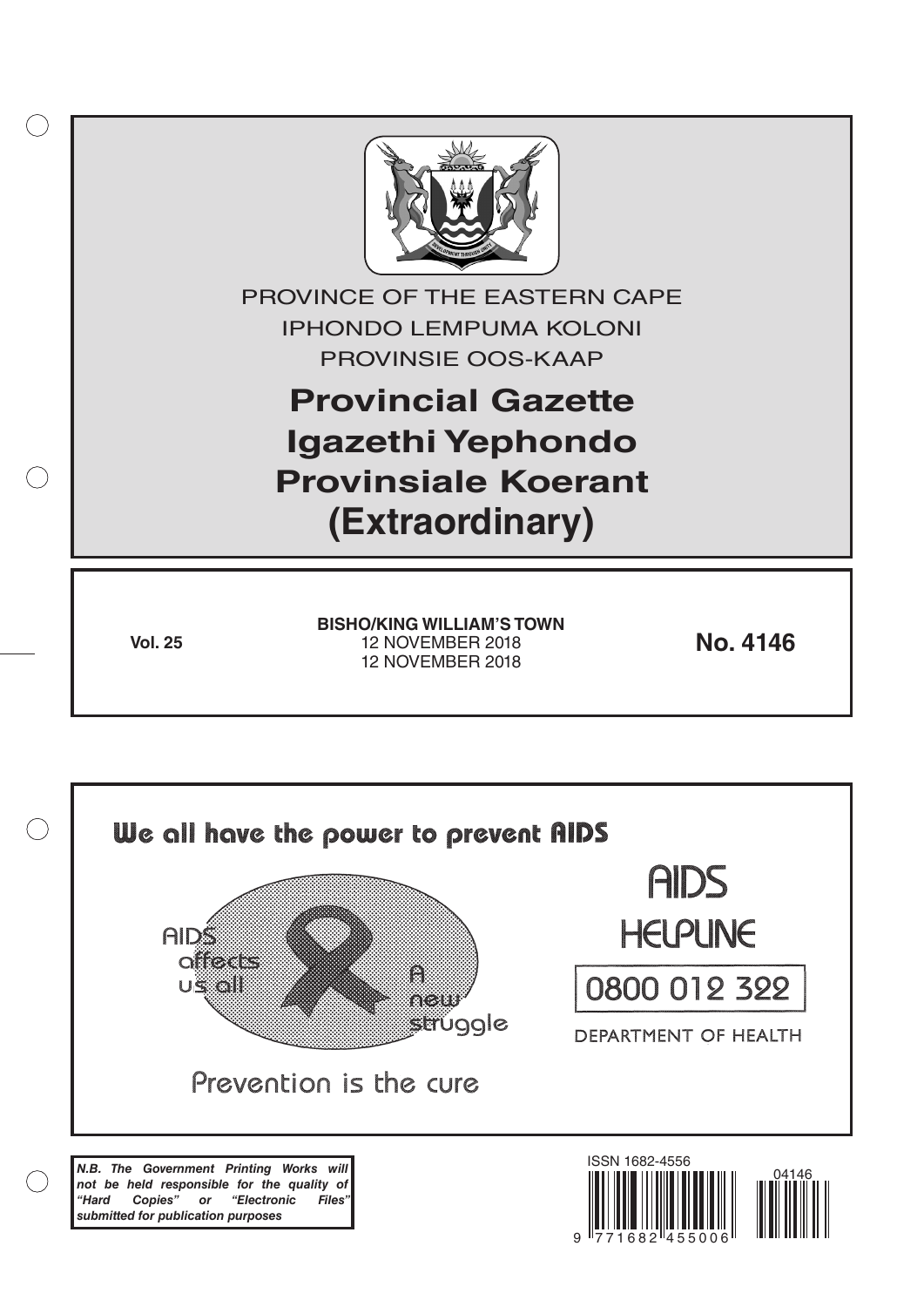

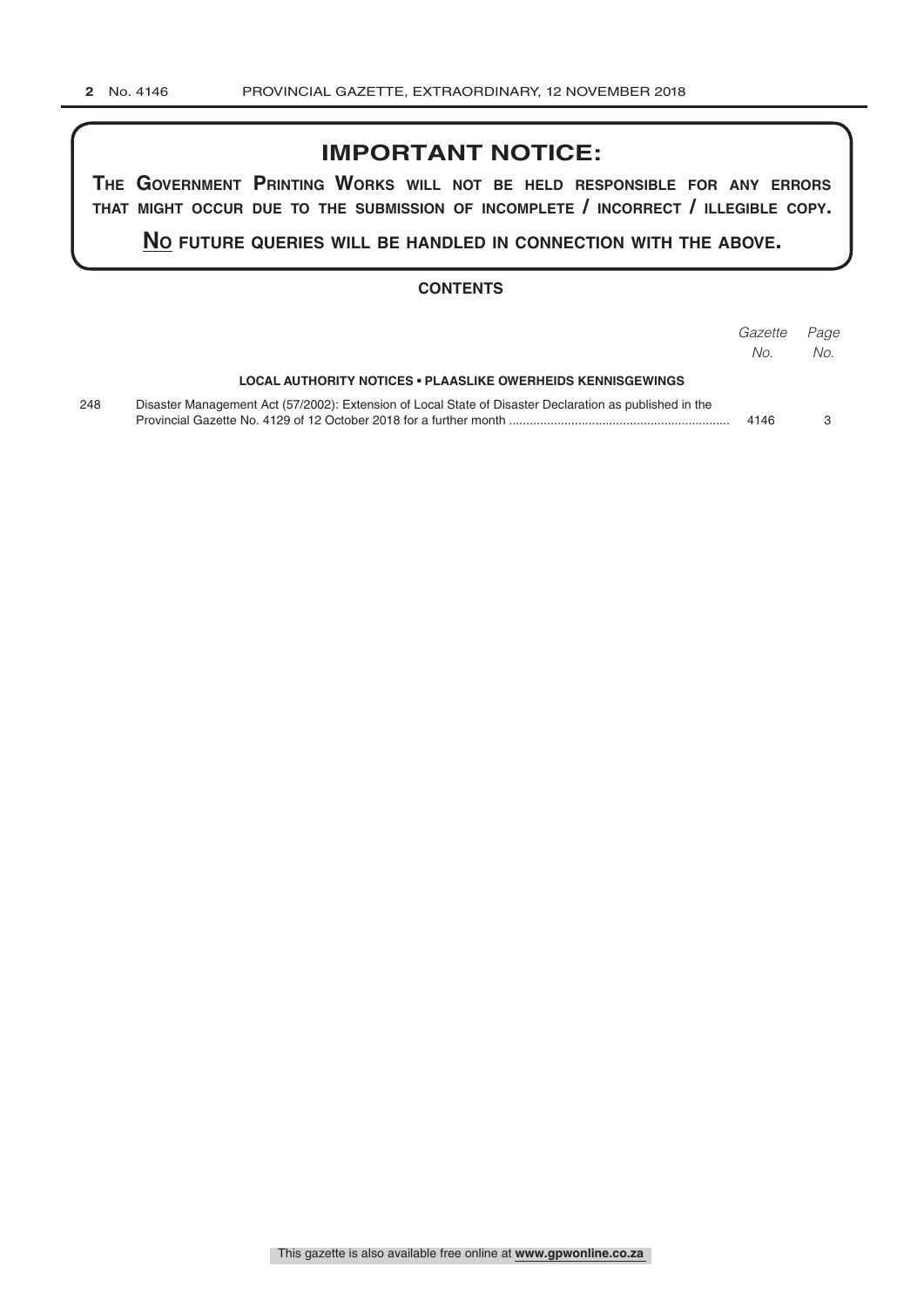## **IMPORTANT NOTICE:**

**The GovernmenT PrinTinG Works Will noT be held resPonsible for any errors ThaT miGhT occur due To The submission of incomPleTe / incorrecT / illeGible coPy.**

**no fuTure queries Will be handled in connecTion WiTh The above.**

#### **CONTENTS**

|     |                                                                                                         | Gazette<br>No. | Page<br>No. |
|-----|---------------------------------------------------------------------------------------------------------|----------------|-------------|
|     | LOCAL AUTHORITY NOTICES • PLAASLIKE OWERHEIDS KENNISGEWINGS                                             |                |             |
| 248 | Disaster Management Act (57/2002): Extension of Local State of Disaster Declaration as published in the | 4146           |             |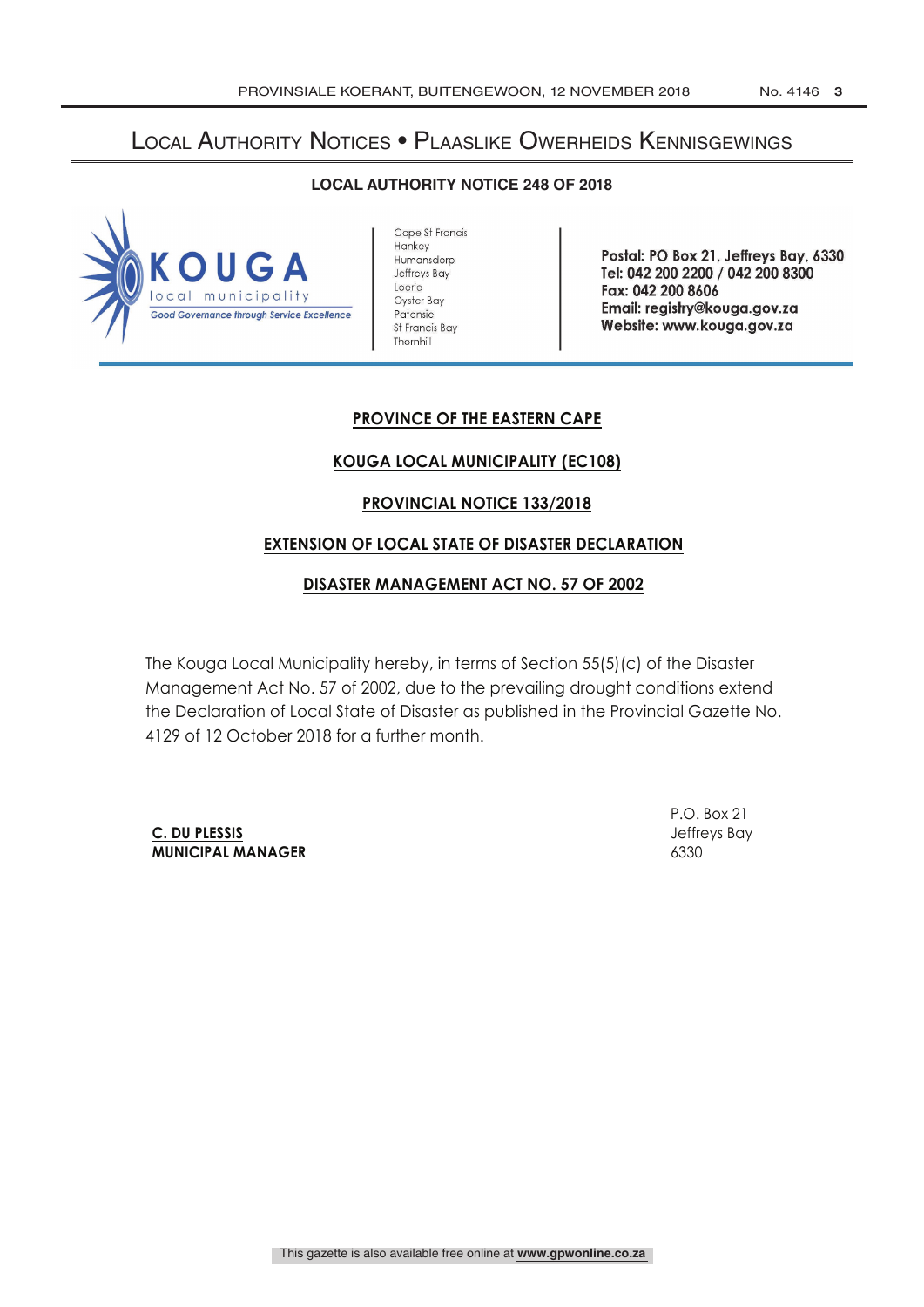# Local Authority Notices • Plaaslike Owerheids Kennisgewings

#### **LOCAL AUTHORITY NOTICE 248 OF 2018**



Cape St Francis Hankey Humansdorp Jeffreys Bay Loerie Oyster Bay Patensie St Francis Bay Thornhill

Postal: PO Box 21, Jeffreys Bay, 6330 Tel: 042 200 2200 / 042 200 8300 Fax: 042 200 8606 Email: registry @kouga.gov.za Website: www.kouga.gov.za

## **PROVINCE OF THE EASTERN CAPE**

## **KOUGA LOCAL MUNICIPALITY (EC108)**

#### **PROVINCIAL NOTICE 133/2018**

#### **EXTENSION OF LOCAL STATE OF DISASTER DECLARATION**

#### **DISASTER MANAGEMENT ACT NO. 57 OF 2002**

The Kouga Local Municipality hereby, in terms of Section 55(5)(c) of the Disaster Management Act No. 57 of 2002, due to the prevailing drought conditions extend the Declaration of Local State of Disaster as published in the Provincial Gazette No. 4129 of 12 October 2018 for a further month.

**C. DU PLESSIS** Jeffreys Bay **MUNICIPAL MANAGER** 6330

P.O. Box 21